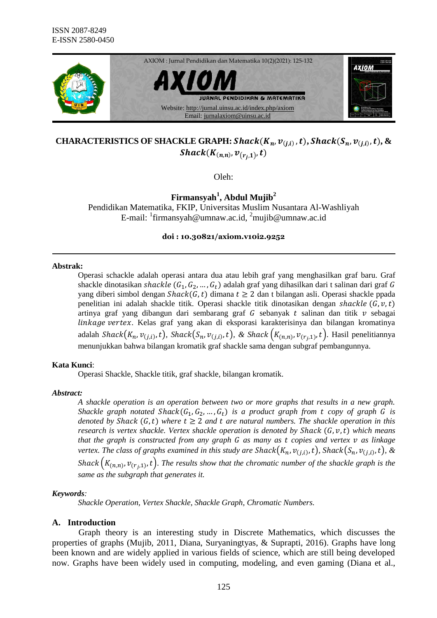

# **CHARACTERISTICS OF SHACKLE GRAPH:**  $\textit{Shack}(K_n, v_{(j,i)}, t)$ ,  $\textit{Shack}(S_n, v_{(j,i)}, t)$ ,  $\&$  $\textit{Shack}(K_{(n,n)}, \nu_{(r_i,1)}, t)$

Oleh:

**Firmansyah<sup>1</sup> , Abdul Mujib<sup>2</sup>**

Pendidikan Matematika, FKIP, Universitas Muslim Nusantara Al-Washliyah E-mail: <sup>1</sup>firmansyah@umnaw.ac.id, <sup>2</sup>mujib@umnaw.ac.id

**doi : 10.30821/axiom.v10i2.9252**

#### **Abstrak:**

Operasi schackle adalah operasi antara dua atau lebih graf yang menghasilkan graf baru. Graf shackle dinotasikan shackle  $(G_1, G_2, ..., G_t)$  adalah graf yang dihasilkan dari t salinan dari graf G yang diberi simbol dengan  $Shack(G, t)$  dimana  $t \ge 2$  dan t bilangan asli. Operasi shackle ppada penelitian ini adalah shackle titik. Operasi shackle titik dinotasikan dengan shackle  $(G, v, t)$ artinya graf yang dibangun dari sembarang graf  $G$  sebanyak  $t$  salinan dan titik  $v$  sebagai linkage vertex. Kelas graf yang akan di eksporasi karakterisinya dan bilangan kromatinya adalah *Shack*( $K_n$ ,  $v_{(j,i)}$ , t), *Shack*( $S_n$ ,  $v_{(j,i)}$ , t), & *Shack*( $K_{(n,n)}$ ,  $v_{(r_i,1)}$ , t). Hasil penelitiannya menunjukkan bahwa bilangan kromatik graf shackle sama dengan subgraf pembangunnya.

#### **Kata Kunci**:

Operasi Shackle, Shackle titik, graf shackle, bilangan kromatik.

#### *Abstract:*

*A shackle operation is an operation between two or more graphs that results in a new graph. Shackle graph notated Shack* $(G_1, G_2, ..., G_t)$  *is a product graph from t copy of graph G is denoted by Shack*  $(G, t)$  *where*  $t \geq 2$  *and*  $t$  *are natural numbers. The shackle operation in this research is vertex shackle. Vertex shackle operation is denoted by Shack*  $(G, v, t)$  *which means that the graph is constructed from any graph G as many as t copies and vertex v as linkage* vertex. The class of graphs examined in this study are  $\text{Shack}(K_n, v_{(j,i)}, t)$ ,  $\text{Shack}(S_n, v_{(j,i)}, t)$ ,  $\&$ Shack  $(K_{(n,n)}, v_{(r_i,1)}, t)$ . The results show that the chromatic number of the shackle graph is the *same as the subgraph that generates it.*

#### *Keywords:*

*Shackle Operation, Vertex Shackle, Shackle Graph, Chromatic Numbers.*

# **A. Introduction**

Graph theory is an interesting study in Discrete Mathematics, which discusses the properties of graphs (Mujib, 2011, Diana, Suryaningtyas, & Suprapti, 2016). Graphs have long been known and are widely applied in various fields of science, which are still being developed now. Graphs have been widely used in computing, modeling, and even gaming (Diana et al.,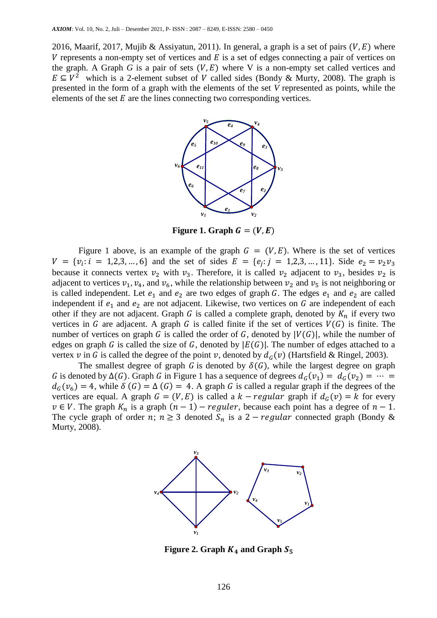2016, Maarif, 2017, Mujib & Assiyatun, 2011). In general, a graph is a set of pairs ( $V, E$ ) where V represents a non-empty set of vertices and  $E$  is a set of edges connecting a pair of vertices on the graph. A Graph *G* is a pair of sets  $(V, E)$  where V is a non-empty set called vertices and  $E \subseteq V^2$  which is a 2-element subset of V called sides (Bondy & Murty, 2008). The graph is presented in the form of a graph with the elements of the set *V* represented as points, while the elements of the set  $E$  are the lines connecting two corresponding vertices.



Figure 1. Graph  $G = (V, E)$ 

Figure 1 above, is an example of the graph  $G = (V, E)$ . Where is the set of vertices  $V = \{v_i : i = 1, 2, 3, ..., 6\}$  and the set of sides  $E = \{e_i : j = 1, 2, 3, ..., 11\}$ . Side because it connects vertex  $v_2$  with  $v_3$ . Therefore, it is called  $v_2$  adjacent to  $v_3$ , besides  $v_2$  is adjacent to vertices  $v_1$ ,  $v_4$ , and  $v_6$ , while the relationship between  $v_2$  and  $v_5$  is not neighboring or is called independent. Let  $e_1$  and  $e_2$  are two edges of graph G. The edges  $e_1$  and  $e_2$  are called independent if  $e_1$  and  $e_2$  are not adjacent. Likewise, two vertices on G are independent of each other if they are not adjacent. Graph G is called a complete graph, denoted by  $K_n$  if every two vertices in G are adjacent. A graph G is called finite if the set of vertices  $V(G)$  is finite. The number of vertices on graph G is called the order of G, denoted by  $|V(G)|$ , while the number of edges on graph G is called the size of G, denoted by  $|E(G)|$ . The number of edges attached to a vertex v in G is called the degree of the point v, denoted by  $d_G(v)$  (Hartsfield & Ringel, 2003).

The smallest degree of graph G is denoted by  $\delta(G)$ , while the largest degree on graph G is denoted by  $\Delta(G)$ . Graph G in Figure 1 has a sequence of degrees  $d_G(v_1) = d_G(v_2)$  $d_G(v_6) = 4$ , while  $\delta(G) = \Delta(G) = 4$ . A graph G is called a regular graph if the degrees of the vertices are equal. A graph  $G = (V, E)$  is called a  $k - regular$  graph if  $d_G(v) = k$  for every  $v \in V$ . The graph  $K_n$  is a graph  $(n-1)$  – reguler, because each point has a degree of  $n-1$ . The cycle graph of order n;  $n \ge 3$  denoted  $S_n$  is a 2 – *regular* connected graph (Bondy & Murty, 2008).



**Figure 2. Graph**  $K_4$  **and Graph**  $S_5$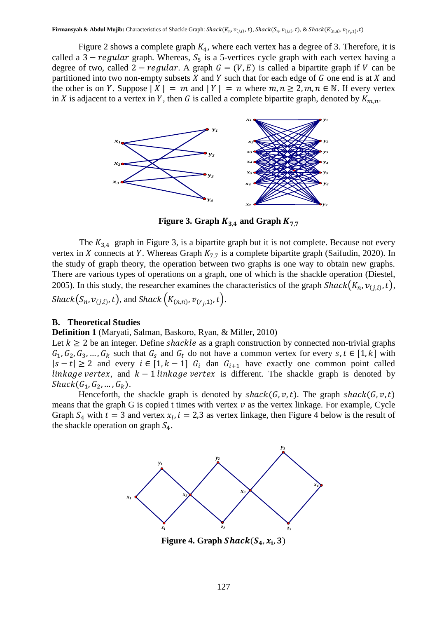Figure 2 shows a complete graph  $K_4$ , where each vertex has a degree of 3. Therefore, it is called a  $3 - regular$  graph. Whereas,  $S_5$  is a 5-vertices cycle graph with each vertex having a degree of two, called  $2 - regular$ . A graph  $G = (V, E)$  is called a bipartite graph if V can be partitioned into two non-empty subsets  $X$  and  $Y$  such that for each edge of  $G$  one end is at  $X$  and the other is on Y. Suppose  $|X| = m$  and  $|Y| = n$  where  $m, n \ge 2, m, n \in \mathbb{N}$ . If every vertex in X is adjacent to a vertex in Y, then G is called a complete bipartite graph, denoted by  $K_{m,n}$ .



**Figure 3. Graph**  $K_{3,4}$  **and Graph**  $K_{7,7}$ 

The  $K_{3,4}$  graph in Figure 3, is a bipartite graph but it is not complete. Because not every vertex in X connects at Y. Whereas Graph  $K_{7,7}$  is a complete bipartite graph (Saifudin, 2020). In the study of graph theory, the operation between two graphs is one way to obtain new graphs. There are various types of operations on a graph, one of which is the shackle operation (Diestel, 2005). In this study, the researcher examines the characteristics of the graph  $Shack(K_n, v_{(j,i)}, t)$ ,  $\textit{Shack}(S_n, v_{(j,i)}, t)$ , and  $\textit{Shack}(K_{(n,n)}, v_{(r_i,1)}, t)$ .

#### **B. Theoretical Studies**

#### **Definition 1** (Maryati, Salman, Baskoro, Ryan, & Miller, 2010)

Let  $k \ge 2$  be an integer. Define *shackle* as a graph construction by connected non-trivial graphs  $G_1, G_2, G_3, \ldots, G_k$  such that  $G_s$  and  $G_t$  do not have a common vertex for every  $s, t \in [1, k]$  with  $|s-t| \ge 2$  and every  $i \in [1, k-1]$   $G_i$  dan  $G_{i+1}$  have exactly one common point called linkage vertex, and  $k-1$  linkage vertex is different. The shackle graph is denoted by  $Shack(G_1, G_2, ..., G_k).$ 

Henceforth, the shackle graph is denoted by  $shack(G, v, t)$ . The graph  $shack(G, v, t)$ means that the graph G is copied t times with vertex  $\nu$  as the vertex linkage. For example, Cycle Graph  $S_4$  with  $t = 3$  and vertex  $x_i$ ,  $i = 2,3$  as vertex linkage, then Figure 4 below is the result of the shackle operation on graph  $S_4$ .



Figure 4. Graph  $Shack(S_4, x_i, 3)$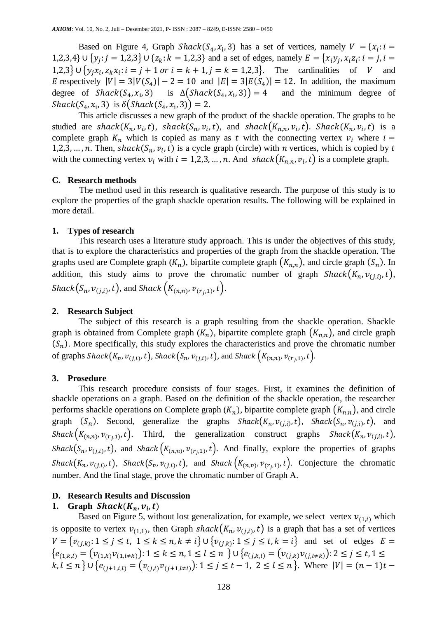Based on Figure 4, Graph Shack( $S_4$ ,  $x_i$ , 3) has a set of vertices, namely  $V = \{x_i:$ 1,2,3,4}  $\cup$  { $y_i$ :  $j = 1,2,3$ }  $\cup$  { $z_k$ :  $k = 1,2,3$ } and a set of edges, namely  $E = \{x_iy_i, x_iz_i\}$ :  ${1,2,3}$   $\cup$   $\{y_i x_i, z_k x_i : i = j + 1 \text{ or } i = k + 1, j = k = 1,2,3\}$ . The cardinalities of V and E respectively  $|V| = 3|V(S_4)| - 2 = 10$  and  $|E| = 3|E(S_4)| = 12$ . In addition, the maximum degree of  $Shack(S_4, x_i, 3)$  is  $\Delta(S)$  )) and the minimum degree of  $Shack(S_4, x_i, 3)$  is  $\delta(Shack(S_4, x_i, 3)) = 2$ .

This article discusses a new graph of the product of the shackle operation. The graphs to be studied are shack $(K_n, v_i, t)$ , shack $(S_n, v_i, t)$ , and shack $(K_{n,n}, v_i, t)$ . Shack $(K_n, v_i, t)$  is a complete graph  $K_n$  which is copied as many as t with the connecting vertex  $v_i$  where  $i =$ 1,2,3, ..., *n*. Then, shack( $S_n$ ,  $v_i$ , t) is a cycle graph (circle) with *n* vertices, which is copied by with the connecting vertex  $v_i$  with  $i = 1, 2, 3, ..., n$ . And  ${shack}(K_{n,n}, v_i, t)$  is a complete graph.

## **C. Research methods**

The method used in this research is qualitative research. The purpose of this study is to explore the properties of the graph shackle operation results. The following will be explained in more detail.

## **1. Types of research**

This research uses a literature study approach. This is under the objectives of this study, that is to explore the characteristics and properties of the graph from the shackle operation. The graphs used are Complete graph  $(K_n)$ , bipartite complete graph  $(K_{n,n})$ , and circle graph  $(S_n)$ . In addition, this study aims to prove the chromatic number of graph  $Shack(K_n, v_{(j,i)}, t)$ ,  $\textit{Shack}(S_n, v_{(j,i)}, t)$ , and  $\textit{Shack}(K_{(n,n)}, v_{(r_i,1)}, t)$ .

### **2. Research Subject**

The subject of this research is a graph resulting from the shackle operation. Shackle graph is obtained from Complete graph  $(K_n)$ , bipartite complete graph  $(K_{n,n})$ , and circle graph  $(S_n)$ . More specifically, this study explores the characteristics and prove the chromatic number of graphs Shack $(K_n, \nu_{(j,i)}, t)$ , Shack $(S_n, \nu_{(j,i)}, t)$ , and Shack  $(K_{(n,n)}, \nu_{(r_i,1)}, t)$ .

#### **3. Prosedure**

This research procedure consists of four stages. First, it examines the definition of shackle operations on a graph. Based on the definition of the shackle operation, the researcher performs shackle operations on Complete graph  $(K_n)$ , bipartite complete graph  $(K_{n,n})$ , and circle graph  $(S_n)$ . Second, generalize the graphs  $Shack(K_n, v_{(j,i)}, t)$ ,  $Shack(S_n, v_{(j,i)}, t)$ , and *Shack*  $(K_{(n,n)}, v_{(r_i,1)}, t)$ . Third, the generalization construct graphs *Shack*  $(K_n, v_{(j,i)}, t)$ , Shack $(S_n, v_{(j,i)}, t)$ , and Shack $(K_{(n,n)}, v_{(r,i)}, t)$ . And finally, explore the properties of graphs Shack $(K_n, v_{(j,i)}, t)$ , Shack $(S_n, v_{(j,i)}, t)$ , and Shack $(K_{(n,n)}, v_{(r,i)}, t)$ . Conjecture the chromatic number. And the final stage, prove the chromatic number of Graph A.

#### **D. Research Results and Discussion**

# 1. Graph  $Shack(K_n, v_i, t)$

Based on Figure 5, without lost generalization, for example, we select vertex  $v_{(1,i)}$  which is opposite to vertex  $v_{(1,1)}$ , then Graph shack $(K_n, v_{(j,i)}, t)$  is a graph that has a set of vertices  $V = \{v_{(j,k)} : 1 \leq j \leq t, 1 \leq k \leq n, k \neq i\} \cup \{v_{(j,k)} : 1 \leq j \leq t, k = i\}$  and set of edges E  ${e_{(1,k,l)}} = (v_{(1,k)}v_{(1,l\neq k)}) : 1 \leq k \leq n, 1 \leq l \leq n \} \cup {e_{(j,k,l)}} = (v_{(j,k)}v_{(j,l\neq k)}) : 2 \leq j \leq t, 1 \leq n$  $k, l \leq n$  }  $\cup \{e_{(j+1,i,l)} = (v_{(j,i)}v_{(j+1,l\neq i)}): 1 \leq j \leq t-1, 2 \leq l \leq n\}$ . Where  $|V| = (n-1)t-1$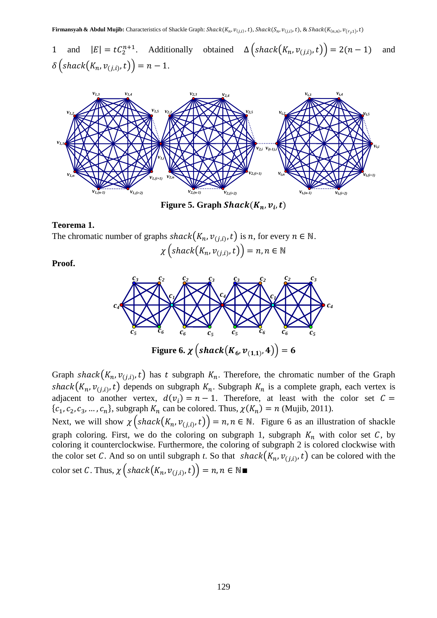1 and  $|E| = tC_2^{n+1}$ . Additionally obtained  $\Delta\left(\operatorname{shack}(K_n, v_{(j,i)}, t)\right) = 2(n-1)$  and  $\delta\left(\operatorname{shack}\left(K_n, v_{(j,i)}, t\right)\right) = n - 1.$ 



Figure 5. Graph  $Shack(K_n, v_i, t)$ 

#### **Teorema 1.**

The chromatic number of graphs  ${shack}(K_n, v_{(j,i)}, t)$  is n, for every  $n \in \mathbb{N}$ .

 $\chi\left(\textit{shack}\left(K_n,v_{(j,i)},t\right)\right)=$ 

**Proof.**



Graph shack $(K_n, v_{(j,i)}, t)$  has t subgraph  $K_n$ . Therefore, the chromatic number of the Graph shack $(K_n, v_{(j,i)}, t)$  depends on subgraph  $K_n$ . Subgraph  $K_n$  is a complete graph, each vertex is adjacent to another vertex,  $d(v_i) = n - 1$ . Therefore, at least with the color set C  $\{c_1, c_2, c_3, \ldots, c_n\}$ , subgraph  $K_n$  can be colored. Thus,  $\chi(K_n) = n$  (Mujib, 2011).

Next, we will show  $\chi(s \text{hack}(K_n, v_{(j,i)}, t)) = n, n \in \mathbb{N}$ . Figure 6 as an illustration of shackle graph coloring. First, we do the coloring on subgraph 1, subgraph  $K_n$  with color set C, by coloring it counterclockwise. Furthermore, the coloring of subgraph 2 is colored clockwise with the color set C. And so on until subgraph *t*. So that  ${shack}(K_n, v_{(j,i)}, t)$  can be colored with the color set C. Thus,  $\chi\left($  shack $(K_n, v_{(j,i)}, t)$  $\right)$  =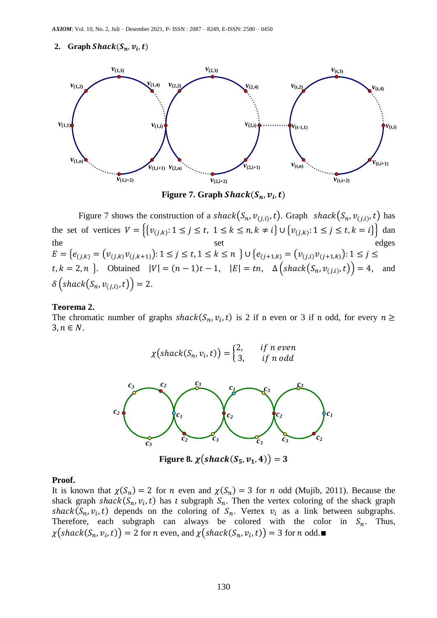### 2. **Graph Shack(S<sub>n</sub>**,  $v_i$ , t)



Figure 7. Graph  $Shack(S_n,v_i,t)$ 

Figure 7 shows the construction of a shack  $(S_n, v_{(j,i)}, t)$ . Graph shack  $(S_n, v_{(j,i)}, t)$  has the set of vertices  $V = \left\{ \{v_{(j,k)} : 1 \le j \le t, 1 \le k \le n, k \neq i \} \cup \{v_{(j,k)} : 1 \le j \le t, k = i \} \right\}$  dan the set edges  $E = \big\{ e_{(j,k)} = \big( v_{(j,k)} v_{(j,k+1)} \big) : 1 \leq j \leq t, 1 \leq k \leq n \big\} \cup \big\{ e_{(j+1,k)} = \big( v_{(j,i)} v_{(j+1,k)} \big) : 1 \leq j \leq n \big\}$  $[t, k = 2, n]$ . Obtained  $|V| = (n - 1)t - 1$ ,  $|E| = tn$ ,  $\Delta \left( \frac{shack(S_n, v_{(j,i)}, t)}{s - 1} \right) = 4$ , and  $\delta\left(\textit{shack}\left(S_n,v_{(j,i)},t\right)\right)=2.$ 

#### **Teorema 2.**

The chromatic number of graphs  $shack(S_n, v_i, t)$  is 2 if n even or 3 if n odd, for every  $3, n \in N$ .

$$
\chi\big(\operatorname{shack}(S_n, v_i, t)\big) = \begin{cases} 2, & \text{if } n \text{ even} \\ 3, & \text{if } n \text{ odd} \end{cases}
$$



Figure 8.  $\chi$ (shack(S<sub>5</sub>, v<sub>1</sub>, 4)) = 3

#### **Proof.**

It is known that  $\chi(S_n) = 2$  for *n* even and  $\chi(S_n) = 3$  for *n* odd (Mujib, 2011). Because the shack graph  $shack(S_n, v_i, t)$  has *t* subgraph  $S_n$ . Then the vertex coloring of the shack graph shack( $S_n$ ,  $v_i$ , t) depends on the coloring of  $S_n$ . Vertex  $v_i$  as a link between subgraphs. Therefore, each subgraph can always be colored with the color in  $S_n$ . Thus,  $\chi(\text{shack}(S_n, v_i, t)) = 2$  for *n* even, and  $\chi(\text{shack}(S_n, v_i, t)) = 3$  for *n* odd.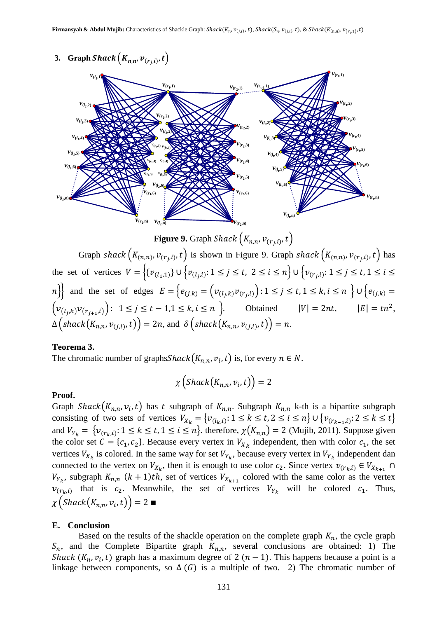# **3. Graph Shack**  $(K_{n,n}, \nu_{(r_i,i)}, t)$



**Figure 9.** Graph Shack  $(K_{n,n}, v_{(r_i,i)}, t)$ Graph shack  $(K_{(n,n)}, v_{(r_i,i)}, t)$  is shown in Figure 9. Graph shack  $(K_{(n,n)}, v_{(r_i,i)}, t)$  has the set of vertices  $V = \{ \{v_{(l_1,1)}\} \cup \{v_{(l_i,i)}: 1 \leq j \leq t, 2 \leq i \leq n \} \cup \{v_{(r_i,i)}: 1 \leq j \leq t, 2 \leq i \leq n \} \}$  $n \nvert$  and the set of edges  $E = \{e_{(j,k)} = (v_{(i,j,k)}v_{(r,j,k)}) : 1 \leq j \leq t, 1 \leq k, i \leq n \}$  $\left(v_{(i,k)}v_{(r_{i+1},i)}\right): 1 \leq j \leq t-1, 1 \leq k, i \leq n\right\}$ . Obtained  $|V| = 2nt, |E| = tn^2$ ,  $\Delta\big(\operatorname{\mathit{shack}}(K_{n,n},\nu_{(j,i)},t)\big)=2n,$  and  $\delta\big(\operatorname{\mathit{shack}}(K_{n,n},\nu_{(j,i)},t)\big)=n.$ 

# **Teorema 3.**

The chromatic number of graphs Shack  $(K_{n,n}, v_i, t)$  is, for every  $n \in N$ .

$$
\chi\left(Shack\left(K_{n,n},\nu_{i},t\right)\right)=2
$$

# **Proof.**

Graph Shack $(K_{n,n}, v_i, t)$  has t subgraph of  $K_{n,n}$ . Subgraph  $K_{n,n}$  k-th is a bipartite subgraph consisting of two sets of vertices  $V_{X_k} = \{v_{(l_k,i)} : 1 \le k \le t, 2 \le i \le n\} \cup \{v_{(r_{k-1},i)} : 2 \le k \le t\}$ and  $V_{Y_k} = \{v_{(r_k,i)}: 1 \le k \le t, 1 \le i \le n\}$ . therefore,  $\chi(K_{n,n}) = 2$  (Mujib, 2011). Suppose given the color set  $C = \{c_1, c_2\}$ . Because every vertex in  $V_{X_k}$  independent, then with color  $c_1$ , the set vertices  $V_{X_k}$  is colored. In the same way for set  $V_{Y_k}$ , because every vertex in  $V_{Y_k}$  independent dan connected to the vertex on  $V_{X_k}$ , then it is enough to use color  $c_2$ . Since vertex  $v_{(r_k,i)} \in V_{X_{k+1}}$  $V_{Y_k}$ , subgraph  $K_{n,n}$   $(k+1)th$ , set of vertices  $V_{X_{k+1}}$  colored with the same color as the vertex  $v_{(r_k,i)}$  that is  $c_2$ . Meanwhile, the set of vertices  $V_{r_k}$  will be colored  $c_1$ . Thus,  $\chi\left( \text{Shack}(K_{n,n},\nu_i,t)\right) =$ 

# **E. Conclusion**

Based on the results of the shackle operation on the complete graph  $K_n$ , the cycle graph  $S_n$ , and the Complete Bipartite graph  $K_{n,n}$ , several conclusions are obtained: 1) The Shack  $(K_n, v_i, t)$  graph has a maximum degree of 2  $(n - 1)$ . This happens because a point is a linkage between components, so  $\Delta(G)$  is a multiple of two. 2) The chromatic number of